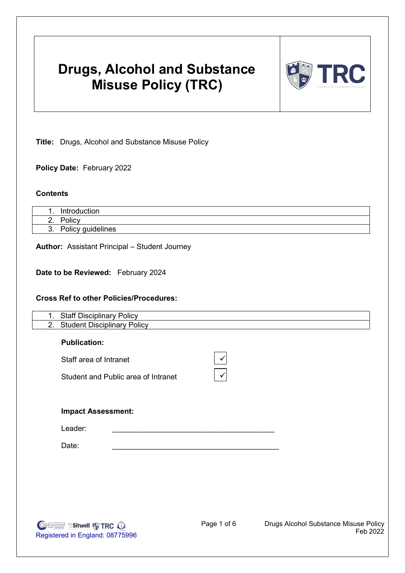# **Drugs, Alcohol and Substance Misuse Policy (TRC)**



**Title:** Drugs, Alcohol and Substance Misuse Policy

**Policy Date:** February 2022

#### **Contents**

|          | 'uction<br>r∩d<br>In: |
|----------|-----------------------|
| <u>.</u> | $\cdots$<br>סווcγ     |
| $\cup$ . | Policy guidelines     |

**Author:** Assistant Principal – Student Journey

**Date to be Reviewed:** February 2024

#### **Cross Ref to other Policies/Procedures:**

| 1. | <b>Staff Disciplinary Policy</b>         |
|----|------------------------------------------|
| 2. | <b>Student Disciplinary Policy</b>       |
|    | <b>Publication:</b>                      |
|    | Staff area of Intranet                   |
|    | Student and Public area of Intranet<br>✓ |
|    |                                          |
|    |                                          |
|    | <b>Impact Assessment:</b>                |
|    | Leader:                                  |
|    | Date:                                    |
|    |                                          |
|    |                                          |
|    |                                          |

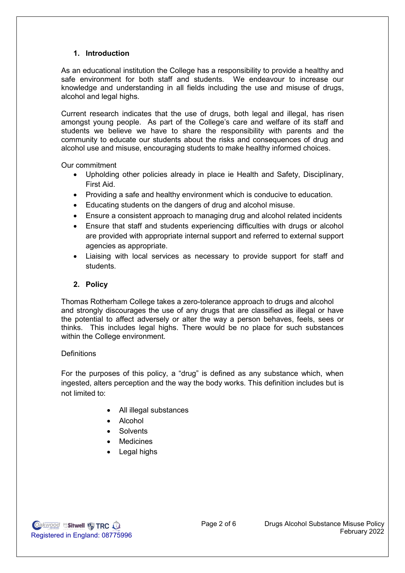### **1. Introduction**

As an educational institution the College has a responsibility to provide a healthy and safe environment for both staff and students. We endeavour to increase our knowledge and understanding in all fields including the use and misuse of drugs, alcohol and legal highs.

Current research indicates that the use of drugs, both legal and illegal, has risen amongst young people. As part of the College's care and welfare of its staff and students we believe we have to share the responsibility with parents and the community to educate our students about the risks and consequences of drug and alcohol use and misuse, encouraging students to make healthy informed choices.

Our commitment

- Upholding other policies already in place ie Health and Safety, Disciplinary, First Aid.
- Providing a safe and healthy environment which is conducive to education.
- Educating students on the dangers of drug and alcohol misuse.
- Ensure a consistent approach to managing drug and alcohol related incidents
- Ensure that staff and students experiencing difficulties with drugs or alcohol are provided with appropriate internal support and referred to external support agencies as appropriate.
- Liaising with local services as necessary to provide support for staff and students.

### **2. Policy**

Thomas Rotherham College takes a zero-tolerance approach to drugs and alcohol and strongly discourages the use of any drugs that are classified as illegal or have the potential to affect adversely or alter the way a person behaves, feels, sees or thinks. This includes legal highs. There would be no place for such substances within the College environment.

#### **Definitions**

For the purposes of this policy, a "drug" is defined as any substance which, when ingested, alters perception and the way the body works. This definition includes but is not limited to:

- All illegal substances
- Alcohol
- Solvents
- Medicines
- Legal highs

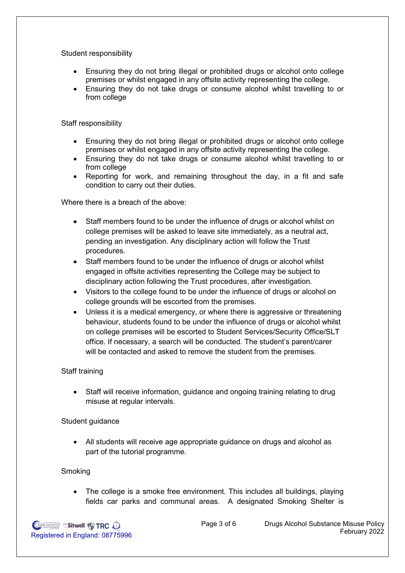Student responsibility

- Ensuring they do not bring illegal or prohibited drugs or alcohol onto college premises or whilst engaged in any offsite activity representing the college.
- Ensuring they do not take drugs or consume alcohol whilst travelling to or from college

Staff responsibility

- Ensuring they do not bring illegal or prohibited drugs or alcohol onto college premises or whilst engaged in any offsite activity representing the college.
- Ensuring they do not take drugs or consume alcohol whilst travelling to or from college
- Reporting for work, and remaining throughout the day, in a fit and safe condition to carry out their duties.

Where there is a breach of the above:

- Staff members found to be under the influence of drugs or alcohol whilst on college premises will be asked to leave site immediately, as a neutral act, pending an investigation. Any disciplinary action will follow the Trust procedures.
- Staff members found to be under the influence of drugs or alcohol whilst engaged in offsite activities representing the College may be subject to disciplinary action following the Trust procedures, after investigation.
- Visitors to the college found to be under the influence of drugs or alcohol on college grounds will be escorted from the premises.
- Unless it is a medical emergency, or where there is aggressive or threatening behaviour, students found to be under the influence of drugs or alcohol whilst on college premises will be escorted to Student Services/Security Office/SLT office. If necessary, a search will be conducted. The student's parent/carer will be contacted and asked to remove the student from the premises.

#### Staff training

• Staff will receive information, guidance and ongoing training relating to drug misuse at regular intervals.

#### Student guidance

• All students will receive age appropriate guidance on drugs and alcohol as part of the tutorial programme.

#### **Smoking**

• The college is a smoke free environment. This includes all buildings, playing fields car parks and communal areas. A designated Smoking Shelter is

**Oakwood Sitwell W TRC OA** Registered in England: 08775996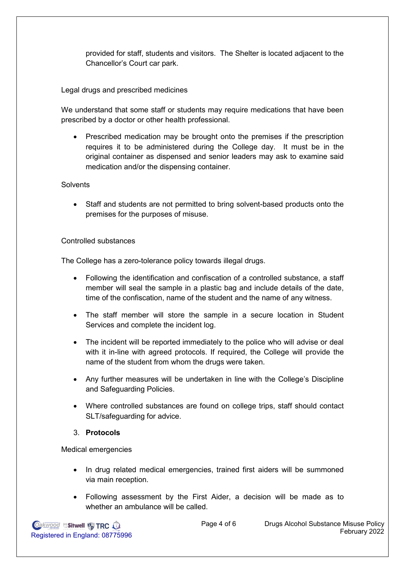provided for staff, students and visitors. The Shelter is located adjacent to the Chancellor's Court car park.

Legal drugs and prescribed medicines

We understand that some staff or students may require medications that have been prescribed by a doctor or other health professional.

• Prescribed medication may be brought onto the premises if the prescription requires it to be administered during the College day. It must be in the original container as dispensed and senior leaders may ask to examine said medication and/or the dispensing container.

## **Solvents**

• Staff and students are not permitted to bring solvent-based products onto the premises for the purposes of misuse.

## Controlled substances

The College has a zero-tolerance policy towards illegal drugs.

- Following the identification and confiscation of a controlled substance, a staff member will seal the sample in a plastic bag and include details of the date, time of the confiscation, name of the student and the name of any witness.
- The staff member will store the sample in a secure location in Student Services and complete the incident log.
- The incident will be reported immediately to the police who will advise or deal with it in-line with agreed protocols. If required, the College will provide the name of the student from whom the drugs were taken.
- Any further measures will be undertaken in line with the College's Discipline and Safeguarding Policies.
- Where controlled substances are found on college trips, staff should contact SLT/safeguarding for advice.

## 3. **Protocols**

Medical emergencies

- In drug related medical emergencies, trained first aiders will be summoned via main reception.
- Following assessment by the First Aider, a decision will be made as to whether an ambulance will be called.

**Oakwood Sitwell & TRC O.** Registered in England: 08775996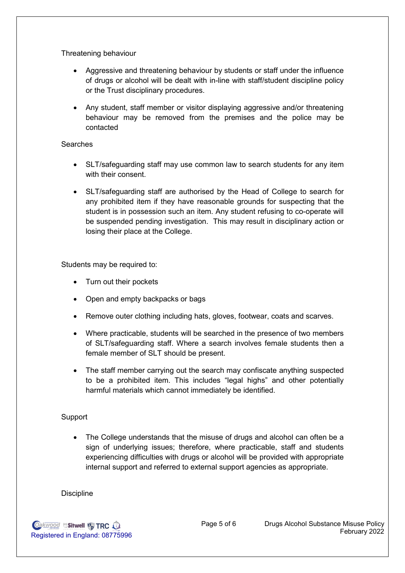Threatening behaviour

- Aggressive and threatening behaviour by students or staff under the influence of drugs or alcohol will be dealt with in-line with staff/student discipline policy or the Trust disciplinary procedures.
- Any student, staff member or visitor displaying aggressive and/or threatening behaviour may be removed from the premises and the police may be contacted

## Searches

- SLT/safeguarding staff may use common law to search students for any item with their consent.
- SLT/safeguarding staff are authorised by the Head of College to search for any prohibited item if they have reasonable grounds for suspecting that the student is in possession such an item. Any student refusing to co-operate will be suspended pending investigation. This may result in disciplinary action or losing their place at the College.

Students may be required to:

- Turn out their pockets
- Open and empty backpacks or bags
- Remove outer clothing including hats, gloves, footwear, coats and scarves.
- Where practicable, students will be searched in the presence of two members of SLT/safeguarding staff. Where a search involves female students then a female member of SLT should be present.
- The staff member carrying out the search may confiscate anything suspected to be a prohibited item. This includes "legal highs" and other potentially harmful materials which cannot immediately be identified.

## Support

• The College understands that the misuse of drugs and alcohol can often be a sign of underlying issues; therefore, where practicable, staff and students experiencing difficulties with drugs or alcohol will be provided with appropriate internal support and referred to external support agencies as appropriate.

## **Discipline**